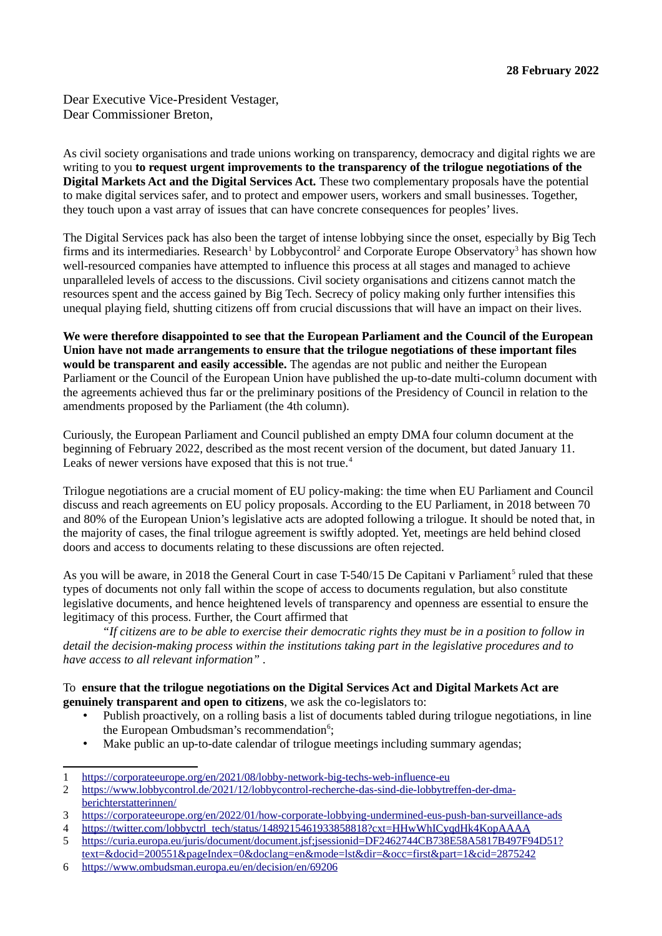Dear Executive Vice-President Vestager, Dear Commissioner Breton,

As civil society organisations and trade unions working on transparency, democracy and digital rights we are writing to you **to request urgent improvements to the transparency of the trilogue negotiations of the Digital Markets Act and the Digital Services Act.** These two complementary proposals have the potential to make digital services safer, and to protect and empower users, workers and small businesses. Together, they touch upon a vast array of issues that can have concrete consequences for peoples' lives.

The Digital Services pack has also been the target of intense lobbying since the onset, especially by Big Tech firms and its intermediaries. Research<sup>[1](#page-0-0)</sup> by Lobbycontrol<sup>[2](#page-0-1)</sup> and Corporate Europe Observatory<sup>[3](#page-0-2)</sup> has shown how well-resourced companies have attempted to influence this process at all stages and managed to achieve unparalleled levels of access to the discussions. Civil society organisations and citizens cannot match the resources spent and the access gained by Big Tech. Secrecy of policy making only further intensifies this unequal playing field, shutting citizens off from crucial discussions that will have an impact on their lives.

**We were therefore disappointed to see that the European Parliament and the Council of the European Union have not made arrangements to ensure that the trilogue negotiations of these important files would be transparent and easily accessible.** The agendas are not public and neither the European Parliament or the Council of the European Union have published the up-to-date multi-column document with the agreements achieved thus far or the preliminary positions of the Presidency of Council in relation to the amendments proposed by the Parliament (the 4th column).

Curiously, the European Parliament and Council published an empty DMA four column document at the beginning of February 2022, described as the most recent version of the document, but dated January 11. Leaks of newer versions have exposed that this is not true.<sup>[4](#page-0-3)</sup>

Trilogue negotiations are a crucial moment of EU policy-making: the time when EU Parliament and Council discuss and reach agreements on EU policy proposals. According to the EU Parliament, in 2018 between 70 and 80% of the European Union's legislative acts are adopted following a trilogue. It should be noted that, in the majority of cases, the final trilogue agreement is swiftly adopted. Yet, meetings are held behind closed doors and access to documents relating to these discussions are often rejected.

As you will be aware, in 2018 the General Court in case T-[5](#page-0-4)40/15 De Capitani v Parliament<sup>5</sup> ruled that these types of documents not only fall within the scope of access to documents regulation, but also constitute legislative documents, and hence heightened levels of transparency and openness are essential to ensure the legitimacy of this process. Further, the Court affirmed that

*"If citizens are to be able to exercise their democratic rights they must be in a position to follow in detail the decision-making process within the institutions taking part in the legislative procedures and to have access to all relevant information" .*

## To **ensure that the trilogue negotiations on the Digital Services Act and Digital Markets Act are genuinely transparent and open to citizens**, we ask the co-legislators to:

- Publish proactively, on a rolling basis a list of documents tabled during trilogue negotiations, in line the European Ombudsman's recommendation<sup>[6](#page-0-5)</sup>;
- Make public an up-to-date calendar of trilogue meetings including summary agendas;

<span id="page-0-0"></span><sup>1</sup><https://corporateeurope.org/en/2021/08/lobby-network-big-techs-web-influence-eu>

<span id="page-0-1"></span><sup>2</sup> [https://www.lobbycontrol.de/2021/12/lobbycontrol-recherche-das-sind-die-lobbytreffen-der-dma](https://www.lobbycontrol.de/2021/12/lobbycontrol-recherche-das-sind-die-lobbytreffen-der-dma-berichterstatterinnen/)[berichterstatterinnen/](https://www.lobbycontrol.de/2021/12/lobbycontrol-recherche-das-sind-die-lobbytreffen-der-dma-berichterstatterinnen/)

<span id="page-0-2"></span><sup>3</sup> <https://corporateeurope.org/en/2022/01/how-corporate-lobbying-undermined-eus-push-ban-surveillance-ads>

<span id="page-0-3"></span><sup>4</sup> [https://twitter.com/lobbyctrl\\_tech/status/1489215461933858818?cxt=HHwWhICyqdHk4KopAAAA](https://twitter.com/lobbyctrl_tech/status/1489215461933858818?cxt=HHwWhICyqdHk4KopAAAA)

<span id="page-0-4"></span><sup>5</sup> [https://curia.europa.eu/juris/document/document.jsf;jsessionid=DF2462744CB738E58A5817B497F94D51?](https://curia.europa.eu/juris/document/document.jsf;jsessionid=DF2462744CB738E58A5817B497F94D51?text=&docid=200551&pageIndex=0&doclang=en&mode=lst&dir=&occ=first&part=1&cid=2875242) [text=&docid=200551&pageIndex=0&doclang=en&mode=lst&dir=&occ=first&part=1&cid=2875242](https://curia.europa.eu/juris/document/document.jsf;jsessionid=DF2462744CB738E58A5817B497F94D51?text=&docid=200551&pageIndex=0&doclang=en&mode=lst&dir=&occ=first&part=1&cid=2875242)

<span id="page-0-5"></span><sup>6</sup> <https://www.ombudsman.europa.eu/en/decision/en/69206>